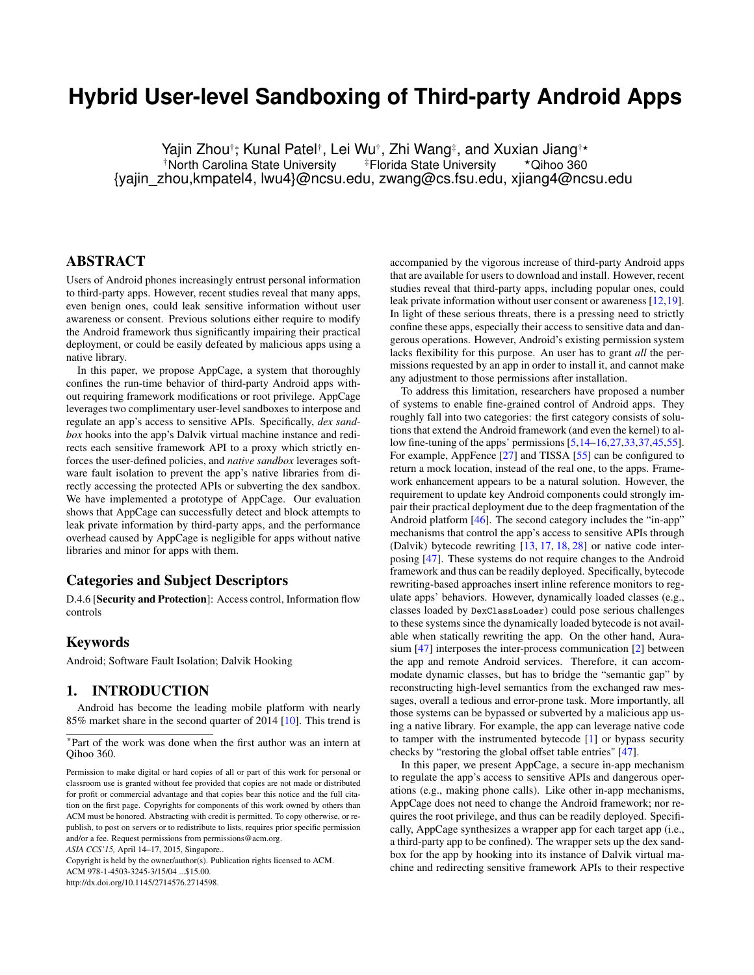# **Hybrid User-level Sandboxing of Third-party Android Apps**

Yajin Zhou†; Kunal Patel†, Lei Wu†, Zhi Wang‡, and Xuxian Jiang†\* <sup>†</sup>North Carolina State University <sup>#</sup>Florida State University \*Qihoo 360 {yajin\_zhou,kmpatel4, lwu4}@ncsu.edu, zwang@cs.fsu.edu, xjiang4@ncsu.edu

# ABSTRACT

Users of Android phones increasingly entrust personal information to third-party apps. However, recent studies reveal that many apps, even benign ones, could leak sensitive information without user awareness or consent. Previous solutions either require to modify the Android framework thus significantly impairing their practical deployment, or could be easily defeated by malicious apps using a native library.

In this paper, we propose AppCage, a system that thoroughly confines the run-time behavior of third-party Android apps without requiring framework modifications or root privilege. AppCage leverages two complimentary user-level sandboxes to interpose and regulate an app's access to sensitive APIs. Specifically, *dex sandbox* hooks into the app's Dalvik virtual machine instance and redirects each sensitive framework API to a proxy which strictly enforces the user-defined policies, and *native sandbox* leverages software fault isolation to prevent the app's native libraries from directly accessing the protected APIs or subverting the dex sandbox. We have implemented a prototype of AppCage. Our evaluation shows that AppCage can successfully detect and block attempts to leak private information by third-party apps, and the performance overhead caused by AppCage is negligible for apps without native libraries and minor for apps with them.

# Categories and Subject Descriptors

D.4.6 [Security and Protection]: Access control, Information flow controls

## Keywords

Android; Software Fault Isolation; Dalvik Hooking

# 1. INTRODUCTION

Android has become the leading mobile platform with nearly 85% market share in the second quarter of 2014 [\[10\]](#page-11-0). This trend is

*ASIA CCS'15,* April 14–17, 2015, Singapore..

Copyright is held by the owner/author(s). Publication rights licensed to ACM.

ACM 978-1-4503-3245-3/15/04 ...\$15.00.

http://dx.doi.org/10.1145/2714576.2714598.

accompanied by the vigorous increase of third-party Android apps that are available for users to download and install. However, recent studies reveal that third-party apps, including popular ones, could leak private information without user consent or awareness [\[12,](#page-11-1)[19\]](#page-11-2). In light of these serious threats, there is a pressing need to strictly confine these apps, especially their access to sensitive data and dangerous operations. However, Android's existing permission system lacks flexibility for this purpose. An user has to grant *all* the permissions requested by an app in order to install it, and cannot make any adjustment to those permissions after installation.

To address this limitation, researchers have proposed a number of systems to enable fine-grained control of Android apps. They roughly fall into two categories: the first category consists of solutions that extend the Android framework (and even the kernel) to allow fine-tuning of the apps' permissions [\[5,](#page-11-3)[14–](#page-11-4)[16,](#page-11-5)[27,](#page-11-6)[33,](#page-11-7)[37,](#page-11-8)[45,](#page-11-9)[55\]](#page-11-10). For example, AppFence [\[27\]](#page-11-6) and TISSA [\[55\]](#page-11-10) can be configured to return a mock location, instead of the real one, to the apps. Framework enhancement appears to be a natural solution. However, the requirement to update key Android components could strongly impair their practical deployment due to the deep fragmentation of the Android platform [\[46\]](#page-11-11). The second category includes the "in-app" mechanisms that control the app's access to sensitive APIs through (Dalvik) bytecode rewriting [\[13,](#page-11-12) [17,](#page-11-13) [18,](#page-11-14) [28\]](#page-11-15) or native code interposing [\[47\]](#page-11-16). These systems do not require changes to the Android framework and thus can be readily deployed. Specifically, bytecode rewriting-based approaches insert inline reference monitors to regulate apps' behaviors. However, dynamically loaded classes (e.g., classes loaded by DexClassLoader) could pose serious challenges to these systems since the dynamically loaded bytecode is not available when statically rewriting the app. On the other hand, Aurasium [\[47\]](#page-11-16) interposes the inter-process communication [\[2\]](#page-10-0) between the app and remote Android services. Therefore, it can accommodate dynamic classes, but has to bridge the "semantic gap" by reconstructing high-level semantics from the exchanged raw messages, overall a tedious and error-prone task. More importantly, all those systems can be bypassed or subverted by a malicious app using a native library. For example, the app can leverage native code to tamper with the instrumented bytecode [\[1\]](#page-10-1) or bypass security checks by "restoring the global offset table entries" [\[47\]](#page-11-16).

In this paper, we present AppCage, a secure in-app mechanism to regulate the app's access to sensitive APIs and dangerous operations (e.g., making phone calls). Like other in-app mechanisms, AppCage does not need to change the Android framework; nor requires the root privilege, and thus can be readily deployed. Specifically, AppCage synthesizes a wrapper app for each target app (i.e., a third-party app to be confined). The wrapper sets up the dex sandbox for the app by hooking into its instance of Dalvik virtual machine and redirecting sensitive framework APIs to their respective

<sup>∗</sup>Part of the work was done when the first author was an intern at Qihoo 360.

Permission to make digital or hard copies of all or part of this work for personal or classroom use is granted without fee provided that copies are not made or distributed for profit or commercial advantage and that copies bear this notice and the full citation on the first page. Copyrights for components of this work owned by others than ACM must be honored. Abstracting with credit is permitted. To copy otherwise, or republish, to post on servers or to redistribute to lists, requires prior specific permission and/or a fee. Request permissions from permissions@acm.org.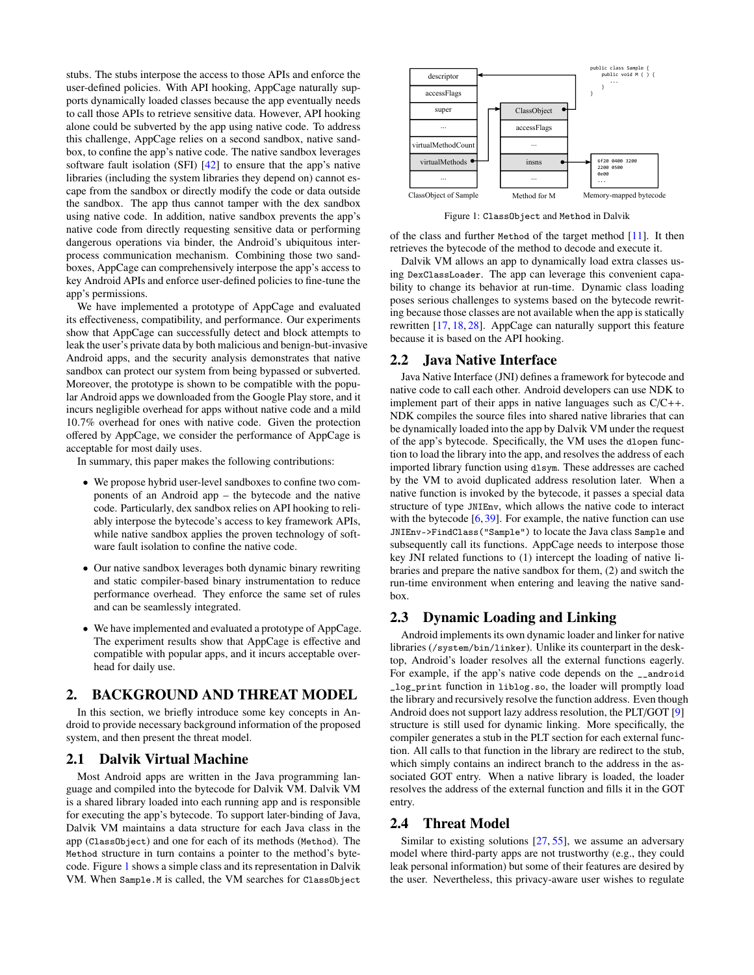stubs. The stubs interpose the access to those APIs and enforce the user-defined policies. With API hooking, AppCage naturally supports dynamically loaded classes because the app eventually needs to call those APIs to retrieve sensitive data. However, API hooking alone could be subverted by the app using native code. To address this challenge, AppCage relies on a second sandbox, native sandbox, to confine the app's native code. The native sandbox leverages software fault isolation (SFI) [\[42\]](#page-11-17) to ensure that the app's native libraries (including the system libraries they depend on) cannot escape from the sandbox or directly modify the code or data outside the sandbox. The app thus cannot tamper with the dex sandbox using native code. In addition, native sandbox prevents the app's native code from directly requesting sensitive data or performing dangerous operations via binder, the Android's ubiquitous interprocess communication mechanism. Combining those two sandboxes, AppCage can comprehensively interpose the app's access to key Android APIs and enforce user-defined policies to fine-tune the app's permissions.

We have implemented a prototype of AppCage and evaluated its effectiveness, compatibility, and performance. Our experiments show that AppCage can successfully detect and block attempts to leak the user's private data by both malicious and benign-but-invasive Android apps, and the security analysis demonstrates that native sandbox can protect our system from being bypassed or subverted. Moreover, the prototype is shown to be compatible with the popular Android apps we downloaded from the Google Play store, and it incurs negligible overhead for apps without native code and a mild <sup>10</sup>.7% overhead for ones with native code. Given the protection offered by AppCage, we consider the performance of AppCage is acceptable for most daily uses.

In summary, this paper makes the following contributions:

- We propose hybrid user-level sandboxes to confine two components of an Android app – the bytecode and the native code. Particularly, dex sandbox relies on API hooking to reliably interpose the bytecode's access to key framework APIs, while native sandbox applies the proven technology of software fault isolation to confine the native code.
- Our native sandbox leverages both dynamic binary rewriting and static compiler-based binary instrumentation to reduce performance overhead. They enforce the same set of rules and can be seamlessly integrated.
- We have implemented and evaluated a prototype of AppCage. The experiment results show that AppCage is effective and compatible with popular apps, and it incurs acceptable overhead for daily use.

## 2. BACKGROUND AND THREAT MODEL

In this section, we briefly introduce some key concepts in Android to provide necessary background information of the proposed system, and then present the threat model.

# <span id="page-1-1"></span>2.1 Dalvik Virtual Machine

Most Android apps are written in the Java programming language and compiled into the bytecode for Dalvik VM. Dalvik VM is a shared library loaded into each running app and is responsible for executing the app's bytecode. To support later-binding of Java, Dalvik VM maintains a data structure for each Java class in the app (ClassObject) and one for each of its methods (Method). The Method structure in turn contains a pointer to the method's bytecode. Figure [1](#page-1-0) shows a simple class and its representation in Dalvik VM. When Sample.M is called, the VM searches for ClassObject

<span id="page-1-0"></span>

Figure 1: ClassObject and Method in Dalvik

of the class and further Method of the target method [\[11\]](#page-11-18). It then retrieves the bytecode of the method to decode and execute it.

Dalvik VM allows an app to dynamically load extra classes using DexClassLoader. The app can leverage this convenient capability to change its behavior at run-time. Dynamic class loading poses serious challenges to systems based on the bytecode rewriting because those classes are not available when the app is statically rewritten [\[17,](#page-11-13) [18,](#page-11-14) [28\]](#page-11-15). AppCage can naturally support this feature because it is based on the API hooking.

# <span id="page-1-2"></span>2.2 Java Native Interface

Java Native Interface (JNI) defines a framework for bytecode and native code to call each other. Android developers can use NDK to implement part of their apps in native languages such as C/C++. NDK compiles the source files into shared native libraries that can be dynamically loaded into the app by Dalvik VM under the request of the app's bytecode. Specifically, the VM uses the dlopen function to load the library into the app, and resolves the address of each imported library function using dlsym. These addresses are cached by the VM to avoid duplicated address resolution later. When a native function is invoked by the bytecode, it passes a special data structure of type JNIEnv, which allows the native code to interact with the bytecode [\[6,](#page-11-19) [39\]](#page-11-20). For example, the native function can use JNIEnv->FindClass("Sample") to locate the Java class Sample and subsequently call its functions. AppCage needs to interpose those key JNI related functions to (1) intercept the loading of native libraries and prepare the native sandbox for them, (2) and switch the run-time environment when entering and leaving the native sandbox.

# 2.3 Dynamic Loading and Linking

Android implements its own dynamic loader and linker for native libraries (/system/bin/linker). Unlike its counterpart in the desktop, Android's loader resolves all the external functions eagerly. For example, if the app's native code depends on the \_\_android \_log\_print function in liblog.so, the loader will promptly load the library and recursively resolve the function address. Even though Android does not support lazy address resolution, the PLT/GOT [\[9\]](#page-11-21) structure is still used for dynamic linking. More specifically, the compiler generates a stub in the PLT section for each external function. All calls to that function in the library are redirect to the stub, which simply contains an indirect branch to the address in the associated GOT entry. When a native library is loaded, the loader resolves the address of the external function and fills it in the GOT entry.

# 2.4 Threat Model

Similar to existing solutions  $[27, 55]$  $[27, 55]$  $[27, 55]$ , we assume an adversary model where third-party apps are not trustworthy (e.g., they could leak personal information) but some of their features are desired by the user. Nevertheless, this privacy-aware user wishes to regulate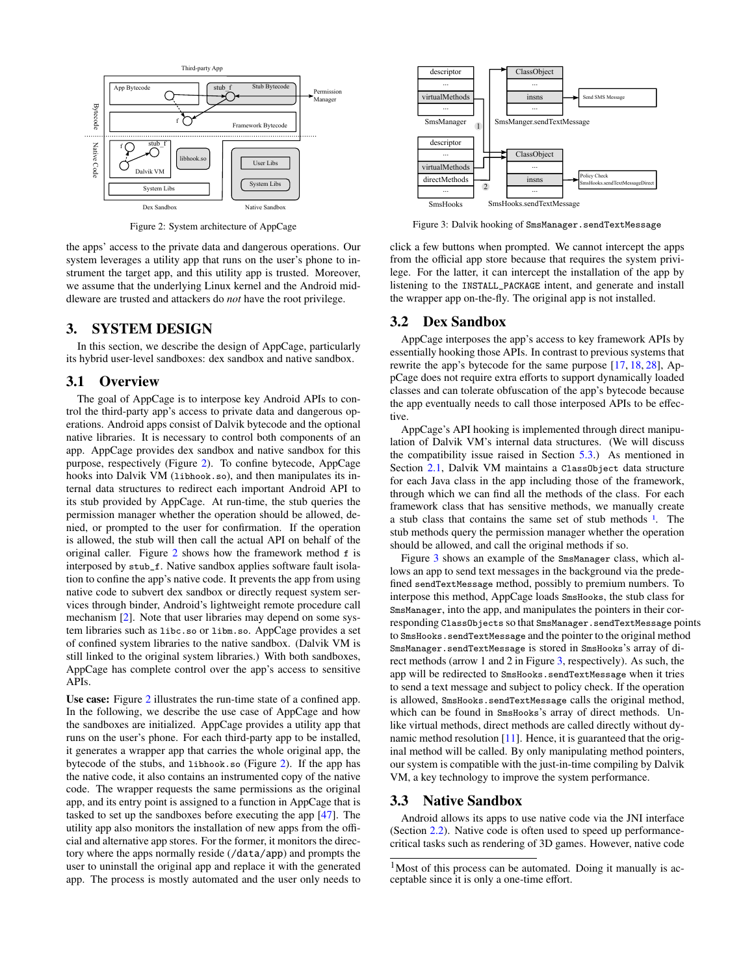<span id="page-2-0"></span>

Figure 2: System architecture of AppCage

the apps' access to the private data and dangerous operations. Our system leverages a utility app that runs on the user's phone to instrument the target app, and this utility app is trusted. Moreover, we assume that the underlying Linux kernel and the Android middleware are trusted and attackers do *not* have the root privilege.

#### 3. SYSTEM DESIGN

In this section, we describe the design of AppCage, particularly its hybrid user-level sandboxes: dex sandbox and native sandbox.

#### <span id="page-2-3"></span>3.1 Overview

The goal of AppCage is to interpose key Android APIs to control the third-party app's access to private data and dangerous operations. Android apps consist of Dalvik bytecode and the optional native libraries. It is necessary to control both components of an app. AppCage provides dex sandbox and native sandbox for this purpose, respectively (Figure [2\)](#page-2-0). To confine bytecode, AppCage hooks into Dalvik VM (libhook.so), and then manipulates its internal data structures to redirect each important Android API to its stub provided by AppCage. At run-time, the stub queries the permission manager whether the operation should be allowed, denied, or prompted to the user for confirmation. If the operation is allowed, the stub will then call the actual API on behalf of the original caller. Figure [2](#page-2-0) shows how the framework method f is interposed by stub\_f. Native sandbox applies software fault isolation to confine the app's native code. It prevents the app from using native code to subvert dex sandbox or directly request system services through binder, Android's lightweight remote procedure call mechanism [\[2\]](#page-10-0). Note that user libraries may depend on some system libraries such as libc.so or libm.so. AppCage provides a set of confined system libraries to the native sandbox. (Dalvik VM is still linked to the original system libraries.) With both sandboxes, AppCage has complete control over the app's access to sensitive APIs.

Use case: Figure [2](#page-2-0) illustrates the run-time state of a confined app. In the following, we describe the use case of AppCage and how the sandboxes are initialized. AppCage provides a utility app that runs on the user's phone. For each third-party app to be installed, it generates a wrapper app that carries the whole original app, the bytecode of the stubs, and libhook.so (Figure [2\)](#page-2-0). If the app has the native code, it also contains an instrumented copy of the native code. The wrapper requests the same permissions as the original app, and its entry point is assigned to a function in AppCage that is tasked to set up the sandboxes before executing the app [\[47\]](#page-11-16). The utility app also monitors the installation of new apps from the official and alternative app stores. For the former, it monitors the directory where the apps normally reside (/data/app) and prompts the user to uninstall the original app and replace it with the generated app. The process is mostly automated and the user only needs to

<span id="page-2-2"></span>

Figure 3: Dalvik hooking of SmsManager.sendTextMessage

click a few buttons when prompted. We cannot intercept the apps from the official app store because that requires the system privilege. For the latter, it can intercept the installation of the app by listening to the INSTALL\_PACKAGE intent, and generate and install the wrapper app on-the-fly. The original app is not installed.

# <span id="page-2-5"></span>3.2 Dex Sandbox

AppCage interposes the app's access to key framework APIs by essentially hooking those APIs. In contrast to previous systems that rewrite the app's bytecode for the same purpose [\[17,](#page-11-13) [18,](#page-11-14) [28\]](#page-11-15), AppCage does not require extra efforts to support dynamically loaded classes and can tolerate obfuscation of the app's bytecode because the app eventually needs to call those interposed APIs to be effective.

AppCage's API hooking is implemented through direct manipulation of Dalvik VM's internal data structures. (We will discuss the compatibility issue raised in Section [5.3.](#page-8-0)) As mentioned in Section [2.1,](#page-1-1) Dalvik VM maintains a ClassObject data structure for each Java class in the app including those of the framework, through which we can find all the methods of the class. For each framework class that has sensitive methods, we manually create a stub class that contains the same set of stub methods <sup>1</sup>[.](#page-2-1) The stub methods query the permission manager whether the operation should be allowed, and call the original methods if so.

Figure [3](#page-2-2) shows an example of the SmsManager class, which allows an app to send text messages in the background via the predefined sendTextMessage method, possibly to premium numbers. To interpose this method, AppCage loads SmsHooks, the stub class for SmsManager, into the app, and manipulates the pointers in their corresponding ClassObjects so that SmsManager.sendTextMessage points to SmsHooks.sendTextMessage and the pointer to the original method SmsManager.sendTextMessage is stored in SmsHooks's array of direct methods (arrow 1 and 2 in Figure [3,](#page-2-2) respectively). As such, the app will be redirected to SmsHooks.sendTextMessage when it tries to send a text message and subject to policy check. If the operation is allowed, SmsHooks.sendTextMessage calls the original method, which can be found in SmsHooks's array of direct methods. Unlike virtual methods, direct methods are called directly without dynamic method resolution [\[11\]](#page-11-18). Hence, it is guaranteed that the original method will be called. By only manipulating method pointers, our system is compatible with the just-in-time compiling by Dalvik VM, a key technology to improve the system performance.

# <span id="page-2-4"></span>3.3 Native Sandbox

Android allows its apps to use native code via the JNI interface (Section [2.2\)](#page-1-2). Native code is often used to speed up performancecritical tasks such as rendering of 3D games. However, native code

<span id="page-2-1"></span> $1$ Most of this process can be automated. Doing it manually is acceptable since it is only a one-time effort.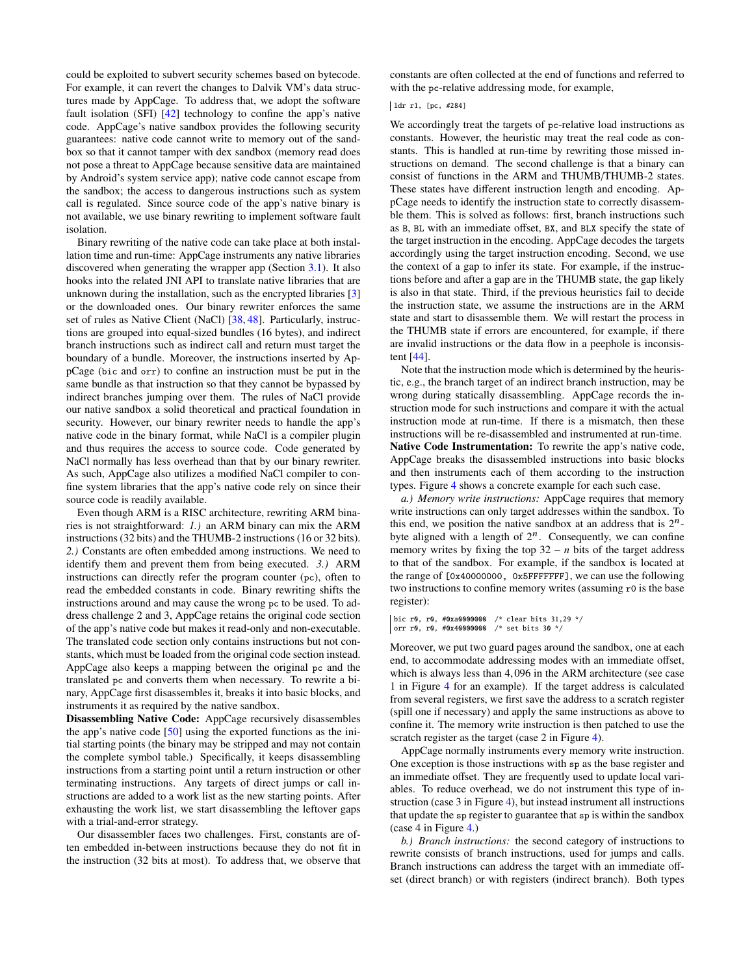could be exploited to subvert security schemes based on bytecode. For example, it can revert the changes to Dalvik VM's data structures made by AppCage. To address that, we adopt the software fault isolation (SFI) [\[42\]](#page-11-17) technology to confine the app's native code. AppCage's native sandbox provides the following security guarantees: native code cannot write to memory out of the sandbox so that it cannot tamper with dex sandbox (memory read does not pose a threat to AppCage because sensitive data are maintained by Android's system service app); native code cannot escape from the sandbox; the access to dangerous instructions such as system call is regulated. Since source code of the app's native binary is not available, we use binary rewriting to implement software fault isolation.

Binary rewriting of the native code can take place at both installation time and run-time: AppCage instruments any native libraries discovered when generating the wrapper app (Section [3.1\)](#page-2-3). It also hooks into the related JNI API to translate native libraries that are unknown during the installation, such as the encrypted libraries [\[3\]](#page-10-2) or the downloaded ones. Our binary rewriter enforces the same set of rules as Native Client (NaCl) [\[38,](#page-11-22) [48\]](#page-11-23). Particularly, instructions are grouped into equal-sized bundles (16 bytes), and indirect branch instructions such as indirect call and return must target the boundary of a bundle. Moreover, the instructions inserted by AppCage (bic and orr) to confine an instruction must be put in the same bundle as that instruction so that they cannot be bypassed by indirect branches jumping over them. The rules of NaCl provide our native sandbox a solid theoretical and practical foundation in security. However, our binary rewriter needs to handle the app's native code in the binary format, while NaCl is a compiler plugin and thus requires the access to source code. Code generated by NaCl normally has less overhead than that by our binary rewriter. As such, AppCage also utilizes a modified NaCl compiler to confine system libraries that the app's native code rely on since their source code is readily available.

Even though ARM is a RISC architecture, rewriting ARM binaries is not straightforward: *1.)* an ARM binary can mix the ARM instructions (32 bits) and the THUMB-2 instructions (16 or 32 bits). *2.)* Constants are often embedded among instructions. We need to identify them and prevent them from being executed. *3.)* ARM instructions can directly refer the program counter (pc), often to read the embedded constants in code. Binary rewriting shifts the instructions around and may cause the wrong pc to be used. To address challenge 2 and 3, AppCage retains the original code section of the app's native code but makes it read-only and non-executable. The translated code section only contains instructions but not constants, which must be loaded from the original code section instead. AppCage also keeps a mapping between the original pc and the translated pc and converts them when necessary. To rewrite a binary, AppCage first disassembles it, breaks it into basic blocks, and instruments it as required by the native sandbox.

Disassembling Native Code: AppCage recursively disassembles the app's native code [\[50\]](#page-11-24) using the exported functions as the initial starting points (the binary may be stripped and may not contain the complete symbol table.) Specifically, it keeps disassembling instructions from a starting point until a return instruction or other terminating instructions. Any targets of direct jumps or call instructions are added to a work list as the new starting points. After exhausting the work list, we start disassembling the leftover gaps with a trial-and-error strategy.

Our disassembler faces two challenges. First, constants are often embedded in-between instructions because they do not fit in the instruction (32 bits at most). To address that, we observe that

constants are often collected at the end of functions and referred to with the pc-relative addressing mode, for example,

#### ldr r1, [pc, #284]

We accordingly treat the targets of pc-relative load instructions as constants. However, the heuristic may treat the real code as constants. This is handled at run-time by rewriting those missed instructions on demand. The second challenge is that a binary can consist of functions in the ARM and THUMB/THUMB-2 states. These states have different instruction length and encoding. AppCage needs to identify the instruction state to correctly disassemble them. This is solved as follows: first, branch instructions such as B, BL with an immediate offset, BX, and BLX specify the state of the target instruction in the encoding. AppCage decodes the targets accordingly using the target instruction encoding. Second, we use the context of a gap to infer its state. For example, if the instructions before and after a gap are in the THUMB state, the gap likely is also in that state. Third, if the previous heuristics fail to decide the instruction state, we assume the instructions are in the ARM state and start to disassemble them. We will restart the process in the THUMB state if errors are encountered, for example, if there are invalid instructions or the data flow in a peephole is inconsistent [\[44\]](#page-11-25).

Note that the instruction mode which is determined by the heuristic, e.g., the branch target of an indirect branch instruction, may be wrong during statically disassembling. AppCage records the instruction mode for such instructions and compare it with the actual instruction mode at run-time. If there is a mismatch, then these instructions will be re-disassembled and instrumented at run-time. Native Code Instrumentation: To rewrite the app's native code, AppCage breaks the disassembled instructions into basic blocks and then instruments each of them according to the instruction types. Figure [4](#page-4-0) shows a concrete example for each such case.

*a.) Memory write instructions:* AppCage requires that memory write instructions can only target addresses within the sandbox. To this end, we position the native sandbox at an address that is  $2^n$ byte aligned with a length of  $2^n$ . Consequently, we can confine memory writes by fixing the top  $32 - n$  bits of the target address to that of the sandbox. For example, if the sandbox is located at the range of [0x40000000, 0x5FFFFFFF], we can use the following two instructions to confine memory writes (assuming r0 is the base register):

```
bic r0, r0, #0xa0000000 /* clear bits 31,29 */
\begin{bmatrix} -1 & -1 \\ 0 & 0 \\ 0 & 0 \\ 0 & 0 \\ 0 & 0 \\ 0 & 0 \\ 0 & 0 & 0 \end{bmatrix} /* set bits 30 */
```
Moreover, we put two guard pages around the sandbox, one at each end, to accommodate addressing modes with an immediate offset, which is always less than 4,096 in the ARM architecture (see case 1 in Figure [4](#page-4-0) for an example). If the target address is calculated from several registers, we first save the address to a scratch register (spill one if necessary) and apply the same instructions as above to confine it. The memory write instruction is then patched to use the scratch register as the target (case 2 in Figure [4\)](#page-4-0).

AppCage normally instruments every memory write instruction. One exception is those instructions with sp as the base register and an immediate offset. They are frequently used to update local variables. To reduce overhead, we do not instrument this type of instruction (case 3 in Figure [4\)](#page-4-0), but instead instrument all instructions that update the sp register to guarantee that sp is within the sandbox (case 4 in Figure [4.](#page-4-0))

*b.) Branch instructions:* the second category of instructions to rewrite consists of branch instructions, used for jumps and calls. Branch instructions can address the target with an immediate offset (direct branch) or with registers (indirect branch). Both types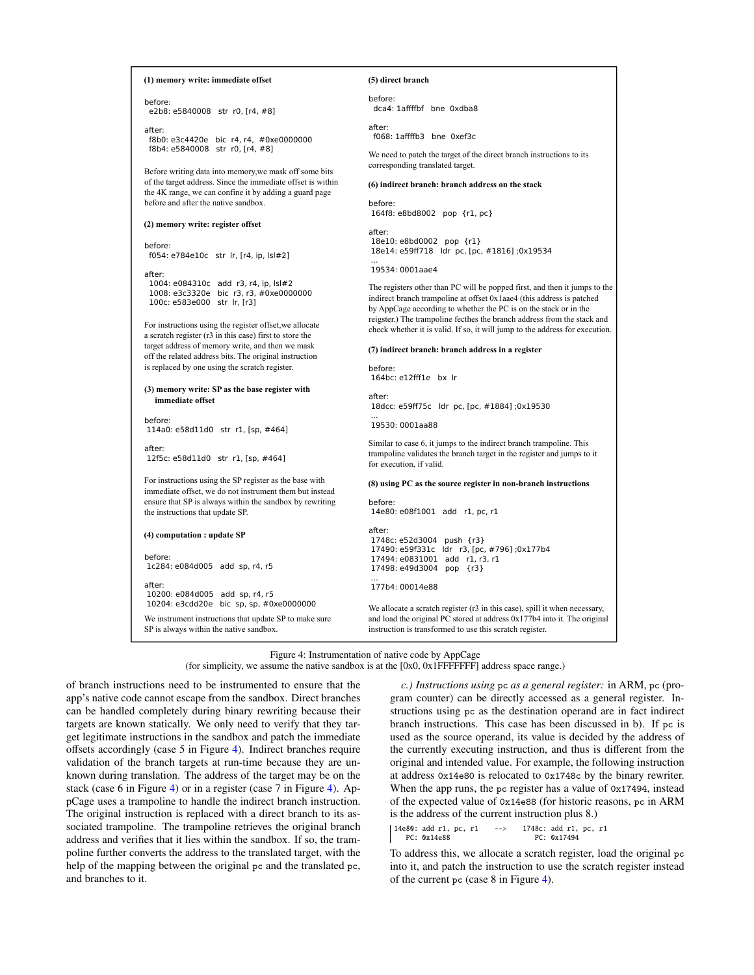```
(1) memory write: immediate offset
before:
  e2b8: e5840008 str r0, [r4, #8]
after:
  f8b0: e3c4420e bic r4, r4, #0xe0000000
  f8b4: e5840008 str r0, [r4, #8]
Before writing data into memory,we mask off some bits
of the target address. Since the immediate offset is within
the 4K range, we can confine it by adding a guard page 
before and after the native sandbox.
(2) memory write: register offset
before:
  f054: e784e10c str lr, [r4, ip, lsl#2]
after:
  1004: e084310c add r3, r4, ip, lsl#2
  1008: e3c3320e bic r3, r3, #0xe0000000
  100c: e583e000 str lr, [r3]
For instructions using the register offset,we allocate
a scratch register (r3 in this case) first to store the 
target address of memory write, and then we mask 
off the related address bits. The original instruction
is replaced by one using the scratch register.
(3) memory write: SP as the base register with 
   immediate offset
before:
 114a0: e58d11d0 str r1, [sp, #464]
after:
 12f5c: e58d11d0 str r1, [sp, #464]
For instructions using the SP register as the base with 
immediate offset, we do not instrument them but instead 
ensure that SP is always within the sandbox by rewriting 
the instructions that update SP.
(4) computation : update SP
before:
 1c284: e084d005 add sp, r4, r5
after:
 10200: e084d005 add sp, r4, r5
 10204: e3cdd20e bic sp, sp, #0xe0000000
We instrument instructions that update SP to make sure 
SP is always within the native sandbox.
                                                               (5) direct branch
                                                               before:
                                                                 dca4: 1affffbf bne 0xdba8
                                                                after:
                                                                  f068: 1affffb3 bne 0xef3c
                                                                We need to patch the target of the direct branch instructions to its 
                                                               corresponding translated target. 
                                                               (6) indirect branch: branch address on the stack
                                                                before:
                                                                 164f8: e8bd8002 pop {r1, pc}
                                                                after:
                                                                 18e10: e8bd0002 pop {r1}
                                                                 18e14: e59ff718 ldr pc, [pc, #1816] ;0x19534
                                                                 ...
 19534: 0001aae4
                                                                The registers other than PC will be popped first, and then it jumps to the 
                                                               indirect branch trampoline at offset 0x1aae4 (this address is patched 
                                                                by AppCage according to whether the PC is on the stack or in the 
                                                               reigster.) The trampoline fecthes the branch address from the stack and 
                                                               check whether it is valid. If so, it will jump to the address for execution. 
                                                               (7) indirect branch: branch address in a register
                                                               before:
                                                                 164bc: e12fff1e bx lr
                                                                after:
                                                                 18dcc: e59ff75c ldr pc, [pc, #1884] ;0x19530
                                                                 ...
 19530: 0001aa88
                                                               Similar to case 6, it jumps to the indirect branch trampoline. This 
                                                               trampoline validates the branch target in the register and jumps to it 
                                                                for execution, if valid.
                                                               (8) using PC as the source register in non-branch instructions
                                                               before:
                                                                 14e80: e08f1001 add r1, pc, r1
                                                                after:
                                                                 1748c: e52d3004 push {r3}
                                                                 17490: e59f331c ldr r3, [pc, #796] ;0x177b4
                                                                 17494: e0831001 add r1, r3, r1
                                                                 17498: e49d3004 pop {r3}
                                                                 ...
 177b4: 00014e88
                                                                We allocate a scratch register (r3 in this case), spill it when necessary,
                                                               and load the original PC stored at address 0x177b4 into it. The original 
                                                               instruction is transformed to use this scratch register.
```
Figure 4: Instrumentation of native code by AppCage

(for simplicity, we assume the native sandbox is at the [0x0, 0x1FFFFFFF] address space range.)

of branch instructions need to be instrumented to ensure that the app's native code cannot escape from the sandbox. Direct branches can be handled completely during binary rewriting because their targets are known statically. We only need to verify that they target legitimate instructions in the sandbox and patch the immediate offsets accordingly (case 5 in Figure [4\)](#page-4-0). Indirect branches require validation of the branch targets at run-time because they are unknown during translation. The address of the target may be on the stack (case 6 in Figure [4\)](#page-4-0) or in a register (case 7 in Figure [4\)](#page-4-0). AppCage uses a trampoline to handle the indirect branch instruction. The original instruction is replaced with a direct branch to its associated trampoline. The trampoline retrieves the original branch address and verifies that it lies within the sandbox. If so, the trampoline further converts the address to the translated target, with the help of the mapping between the original pc and the translated pc, and branches to it.

*c.) Instructions using* pc *as a general register:* in ARM, pc (program counter) can be directly accessed as a general register. Instructions using pc as the destination operand are in fact indirect branch instructions. This case has been discussed in b). If pc is used as the source operand, its value is decided by the address of the currently executing instruction, and thus is different from the original and intended value. For example, the following instruction at address 0x14e80 is relocated to 0x1748c by the binary rewriter. When the app runs, the pc register has a value of 0x17494, instead of the expected value of 0x14e88 (for historic reasons, pc in ARM is the address of the current instruction plus 8.)

| 14e80: add r1, pc, r1 |  | $--$ | 1748c: add r1, pc, r1 |             |  |  |
|-----------------------|--|------|-----------------------|-------------|--|--|
| PC: 0x14e88           |  |      |                       | PC: 0x17494 |  |  |

To address this, we allocate a scratch register, load the original pc into it, and patch the instruction to use the scratch register instead of the current pc (case 8 in Figure [4\)](#page-4-0).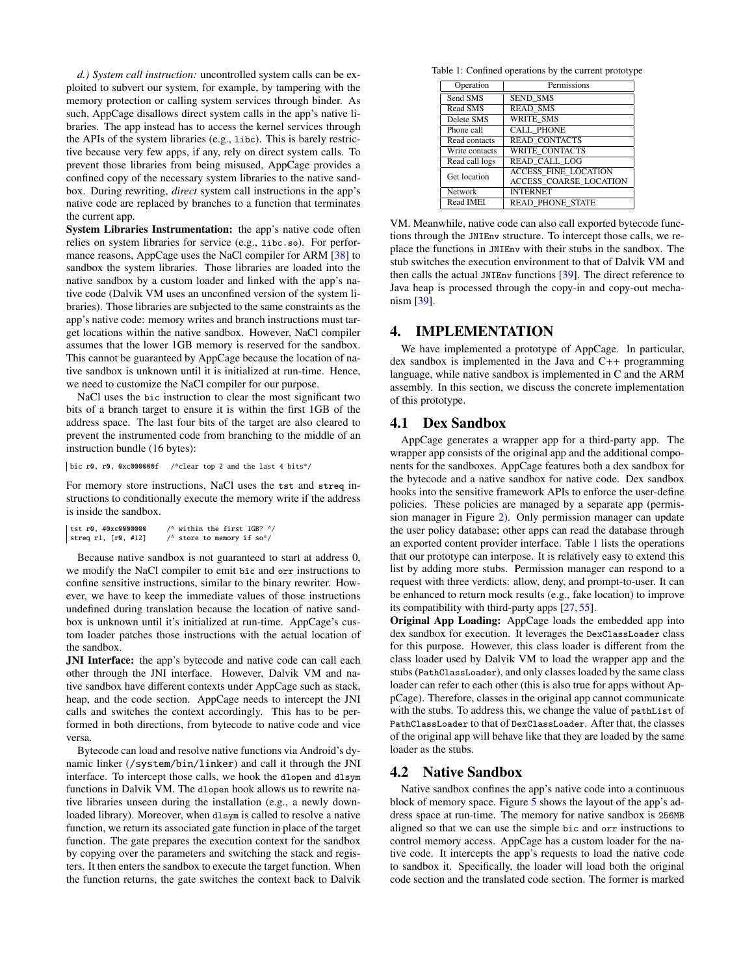*d.) System call instruction:* uncontrolled system calls can be exploited to subvert our system, for example, by tampering with the memory protection or calling system services through binder. As such, AppCage disallows direct system calls in the app's native libraries. The app instead has to access the kernel services through the APIs of the system libraries (e.g., libc). This is barely restrictive because very few apps, if any, rely on direct system calls. To prevent those libraries from being misused, AppCage provides a confined copy of the necessary system libraries to the native sandbox. During rewriting, *direct* system call instructions in the app's native code are replaced by branches to a function that terminates the current app.

System Libraries Instrumentation: the app's native code often relies on system libraries for service (e.g., libc.so). For performance reasons, AppCage uses the NaCl compiler for ARM [\[38\]](#page-11-22) to sandbox the system libraries. Those libraries are loaded into the native sandbox by a custom loader and linked with the app's native code (Dalvik VM uses an unconfined version of the system libraries). Those libraries are subjected to the same constraints as the app's native code: memory writes and branch instructions must target locations within the native sandbox. However, NaCl compiler assumes that the lower 1GB memory is reserved for the sandbox. This cannot be guaranteed by AppCage because the location of native sandbox is unknown until it is initialized at run-time. Hence, we need to customize the NaCl compiler for our purpose.

NaCl uses the bic instruction to clear the most significant two bits of a branch target to ensure it is within the first 1GB of the address space. The last four bits of the target are also cleared to prevent the instrumented code from branching to the middle of an instruction bundle (16 bytes):

| bic r0, r0, 0xc000000f /\*clear top 2 and the last 4 bits\*/

For memory store instructions, NaCl uses the tst and streq instructions to conditionally execute the memory write if the address is inside the sandbox.

| tst r0, #0xc0000000 | /* within the first 1GB? */   |
|---------------------|-------------------------------|
| streq r1, [r0, #12] | /* store to memory if $so^*/$ |

Because native sandbox is not guaranteed to start at address 0, we modify the NaCl compiler to emit bic and orr instructions to confine sensitive instructions, similar to the binary rewriter. However, we have to keep the immediate values of those instructions undefined during translation because the location of native sandbox is unknown until it's initialized at run-time. AppCage's custom loader patches those instructions with the actual location of the sandbox.

JNI Interface: the app's bytecode and native code can call each other through the JNI interface. However, Dalvik VM and native sandbox have different contexts under AppCage such as stack, heap, and the code section. AppCage needs to intercept the JNI calls and switches the context accordingly. This has to be performed in both directions, from bytecode to native code and vice versa.

Bytecode can load and resolve native functions via Android's dynamic linker (/system/bin/linker) and call it through the JNI interface. To intercept those calls, we hook the dlopen and dlsym functions in Dalvik VM. The dlopen hook allows us to rewrite native libraries unseen during the installation (e.g., a newly downloaded library). Moreover, when dlsym is called to resolve a native function, we return its associated gate function in place of the target function. The gate prepares the execution context for the sandbox by copying over the parameters and switching the stack and registers. It then enters the sandbox to execute the target function. When the function returns, the gate switches the context back to Dalvik

<span id="page-5-0"></span>Table 1: Confined operations by the current prototype

| Operation        | Permissions                 |
|------------------|-----------------------------|
| Send SMS         | <b>SEND SMS</b>             |
| Read SMS         | <b>READ SMS</b>             |
| Delete SMS       | <b>WRITE SMS</b>            |
| Phone call       | <b>CALL PHONE</b>           |
| Read contacts    | <b>READ CONTACTS</b>        |
| Write contacts   | <b>WRITE CONTACTS</b>       |
| Read call logs   | <b>READ CALL LOG</b>        |
| Get location     | <b>ACCESS FINE LOCATION</b> |
|                  | ACCESS COARSE LOCATION      |
| Network          | <b>INTERNET</b>             |
| <b>Read IMEI</b> | <b>READ PHONE STATE</b>     |

VM. Meanwhile, native code can also call exported bytecode functions through the JNIEnv structure. To intercept those calls, we replace the functions in JNIEnv with their stubs in the sandbox. The stub switches the execution environment to that of Dalvik VM and then calls the actual JNIEnv functions [\[39\]](#page-11-20). The direct reference to Java heap is processed through the copy-in and copy-out mechanism [\[39\]](#page-11-20).

# <span id="page-5-2"></span>4. IMPLEMENTATION

We have implemented a prototype of AppCage. In particular, dex sandbox is implemented in the Java and C++ programming language, while native sandbox is implemented in C and the ARM assembly. In this section, we discuss the concrete implementation of this prototype.

# 4.1 Dex Sandbox

AppCage generates a wrapper app for a third-party app. The wrapper app consists of the original app and the additional components for the sandboxes. AppCage features both a dex sandbox for the bytecode and a native sandbox for native code. Dex sandbox hooks into the sensitive framework APIs to enforce the user-define policies. These policies are managed by a separate app (permission manager in Figure [2\)](#page-2-0). Only permission manager can update the user policy database; other apps can read the database through an exported content provider interface. Table [1](#page-5-0) lists the operations that our prototype can interpose. It is relatively easy to extend this list by adding more stubs. Permission manager can respond to a request with three verdicts: allow, deny, and prompt-to-user. It can be enhanced to return mock results (e.g., fake location) to improve its compatibility with third-party apps [\[27,](#page-11-6) [55\]](#page-11-10).

Original App Loading: AppCage loads the embedded app into dex sandbox for execution. It leverages the DexClassLoader class for this purpose. However, this class loader is different from the class loader used by Dalvik VM to load the wrapper app and the stubs (PathClassLoader), and only classes loaded by the same class loader can refer to each other (this is also true for apps without AppCage). Therefore, classes in the original app cannot communicate with the stubs. To address this, we change the value of pathList of PathClassLoader to that of DexClassLoader. After that, the classes of the original app will behave like that they are loaded by the same loader as the stubs.

# <span id="page-5-1"></span>4.2 Native Sandbox

Native sandbox confines the app's native code into a continuous block of memory space. Figure [5](#page-6-0) shows the layout of the app's address space at run-time. The memory for native sandbox is 256MB aligned so that we can use the simple bic and orr instructions to control memory access. AppCage has a custom loader for the native code. It intercepts the app's requests to load the native code to sandbox it. Specifically, the loader will load both the original code section and the translated code section. The former is marked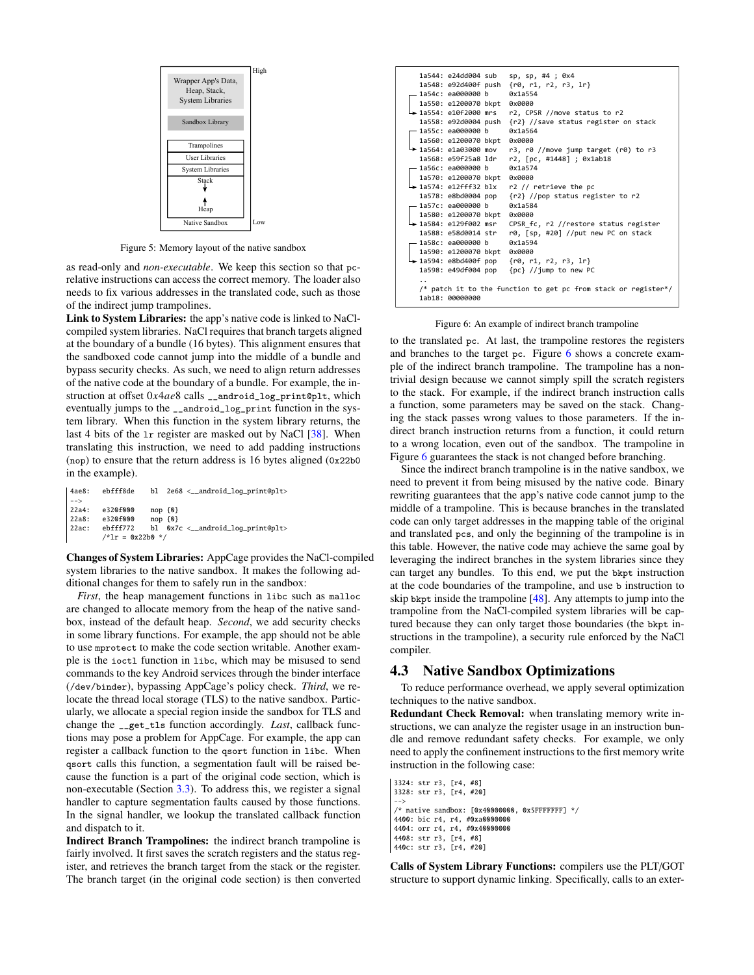<span id="page-6-0"></span>

Figure 5: Memory layout of the native sandbox

as read-only and *non-executable*. We keep this section so that pcrelative instructions can access the correct memory. The loader also needs to fix various addresses in the translated code, such as those of the indirect jump trampolines.

Link to System Libraries: the app's native code is linked to NaClcompiled system libraries. NaCl requires that branch targets aligned at the boundary of a bundle (16 bytes). This alignment ensures that the sandboxed code cannot jump into the middle of a bundle and bypass security checks. As such, we need to align return addresses of the native code at the boundary of a bundle. For example, the instruction at offset 0*x*4*ae*8 calls \_\_android\_log\_print@plt, which eventually jumps to the \_\_android\_log\_print function in the system library. When this function in the system library returns, the last 4 bits of the 1r register are masked out by NaCl [\[38\]](#page-11-22). When translating this instruction, we need to add padding instructions (nop) to ensure that the return address is 16 bytes aligned (0x22b0 in the example).

```
4ae8: ebfff8de bl 2e68 <__android_log_print@plt>
--><br>22a4:
22a4: e320f000 nop {0}<br>22a8: e320f000 nop {0}
                      nop {0}
22ac: ebfff772 bl 0x7c <__android_log_print@plt>
         /*lr = 0x22b0 * /
```
Changes of System Libraries: AppCage provides the NaCl-compiled system libraries to the native sandbox. It makes the following additional changes for them to safely run in the sandbox:

*First*, the heap management functions in libc such as malloc are changed to allocate memory from the heap of the native sandbox, instead of the default heap. *Second*, we add security checks in some library functions. For example, the app should not be able to use mprotect to make the code section writable. Another example is the ioctl function in libc, which may be misused to send commands to the key Android services through the binder interface (/dev/binder), bypassing AppCage's policy check. *Third*, we relocate the thread local storage (TLS) to the native sandbox. Particularly, we allocate a special region inside the sandbox for TLS and change the \_\_get\_tls function accordingly. *Last*, callback functions may pose a problem for AppCage. For example, the app can register a callback function to the qsort function in libc. When qsort calls this function, a segmentation fault will be raised because the function is a part of the original code section, which is non-executable (Section [3.3\)](#page-2-4). To address this, we register a signal handler to capture segmentation faults caused by those functions. In the signal handler, we lookup the translated callback function and dispatch to it.

Indirect Branch Trampolines: the indirect branch trampoline is fairly involved. It first saves the scratch registers and the status register, and retrieves the branch target from the stack or the register. The branch target (in the original code section) is then converted

<span id="page-6-1"></span>

| 1a544: e24dd004 sub                        | sp, sp, #4 ; 0x4                                               |
|--------------------------------------------|----------------------------------------------------------------|
| 1a548: e92d400f push {r0, r1, r2, r3, lr}  |                                                                |
| – 1a54c: ea000000 b                        | 0x1a554                                                        |
| 1a550: e1200070 bkpt                       | 0x0000                                                         |
| → 1a554: e10f2000 mrs                      | r2, CPSR //move status to r2                                   |
|                                            | 1a558: e92d0004 push {r2} //save status register on stack      |
| -1a55c: ea000000 b                         | 0x1a564                                                        |
| 1a560: e1200070 bkpt                       | 0x0000                                                         |
| → 1a564: e1a03000 mov                      | r3, r0 //move jump target (r0) to r3                           |
| 1a568: e59f25a8 ldr                        | r2, [pc, #1448]; 0x1ab18                                       |
| – 1a56c: ea000000 b                        | 0x1a574                                                        |
| 1a570: e1200070 bkpt 0x0000                |                                                                |
| → 1a574: e12fff32 blx                      | r2 // retrieve the pc                                          |
|                                            | 1a578: e8bd0004 pop {r2} //pop status register to r2           |
| -1a57c: ea000000 b                         | 0x1a584                                                        |
| 1a580: e1200070 bkpt                       | 0x0000                                                         |
| → 1a584: e129f002 msr                      | CPSR fc, r2 //restore status register                          |
| 1a588: e58d0014 str                        | r0, [sp, #20] //put new PC on stack                            |
| -1a58c: ea000000 b                         | 0x1a594                                                        |
| 1a590: e1200070 bkpt                       | 0x0000                                                         |
| → 1a594: e8bd400f pop {r0, r1, r2, r3, lr} |                                                                |
|                                            | 1a598: e49df004 pop {pc} //jump to new PC                      |
|                                            |                                                                |
|                                            | /* patch it to the function to get pc from stack or register*/ |
| 1ab18: 00000000                            |                                                                |

Figure 6: An example of indirect branch trampoline

to the translated pc. At last, the trampoline restores the registers and branches to the target pc. Figure [6](#page-6-1) shows a concrete example of the indirect branch trampoline. The trampoline has a nontrivial design because we cannot simply spill the scratch registers to the stack. For example, if the indirect branch instruction calls a function, some parameters may be saved on the stack. Changing the stack passes wrong values to those parameters. If the indirect branch instruction returns from a function, it could return to a wrong location, even out of the sandbox. The trampoline in Figure [6](#page-6-1) guarantees the stack is not changed before branching.

Since the indirect branch trampoline is in the native sandbox, we need to prevent it from being misused by the native code. Binary rewriting guarantees that the app's native code cannot jump to the middle of a trampoline. This is because branches in the translated code can only target addresses in the mapping table of the original and translated pcs, and only the beginning of the trampoline is in this table. However, the native code may achieve the same goal by leveraging the indirect branches in the system libraries since they can target any bundles. To this end, we put the bkpt instruction at the code boundaries of the trampoline, and use b instruction to skip bkpt inside the trampoline [\[48\]](#page-11-23). Any attempts to jump into the trampoline from the NaCl-compiled system libraries will be captured because they can only target those boundaries (the bkpt instructions in the trampoline), a security rule enforced by the NaCl compiler.

# 4.3 Native Sandbox Optimizations

To reduce performance overhead, we apply several optimization techniques to the native sandbox.

Redundant Check Removal: when translating memory write instructions, we can analyze the register usage in an instruction bundle and remove redundant safety checks. For example, we only need to apply the confinement instructions to the first memory write instruction in the following case:

3324: str r3, [r4, #8] 3328: str r3, [r4, #20] --> /\* native sandbox: [0x40000000, 0x5FFFFFFF] \*/ 4400: bic r4, r4, #0xa0000000 4404: orr r4, r4, #0x40000000 4408: str r3, [r4, #8] 440c: str r3, [r4, #20]

Calls of System Library Functions: compilers use the PLT/GOT structure to support dynamic linking. Specifically, calls to an exter-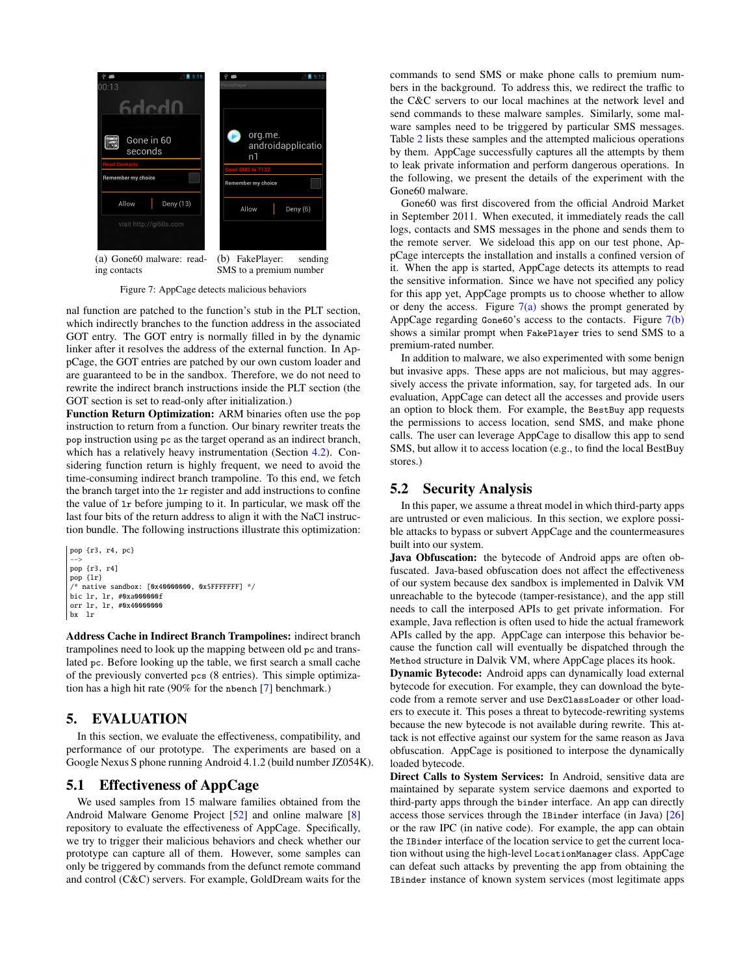<span id="page-7-2"></span><span id="page-7-0"></span>

(a) Gone60 malware: reading contacts (b) FakePlayer: sending SMS to a premium number

<span id="page-7-1"></span>Figure 7: AppCage detects malicious behaviors

nal function are patched to the function's stub in the PLT section, which indirectly branches to the function address in the associated GOT entry. The GOT entry is normally filled in by the dynamic linker after it resolves the address of the external function. In AppCage, the GOT entries are patched by our own custom loader and are guaranteed to be in the sandbox. Therefore, we do not need to rewrite the indirect branch instructions inside the PLT section (the GOT section is set to read-only after initialization.)

Function Return Optimization: ARM binaries often use the pop instruction to return from a function. Our binary rewriter treats the pop instruction using pc as the target operand as an indirect branch, which has a relatively heavy instrumentation (Section [4.2\)](#page-5-1). Considering function return is highly frequent, we need to avoid the time-consuming indirect branch trampoline. To this end, we fetch the branch target into the lr register and add instructions to confine the value of lr before jumping to it. In particular, we mask off the last four bits of the return address to align it with the NaCl instruction bundle. The following instructions illustrate this optimization:

```
pop {r3, r4, pc}
 -->
pop {r3, r4]
pop {lr}
/* native sandbox: [0x40000000, 0x5FFFFFFF] */
bic lr, lr, #0xa000000f
orr lr, lr, #0x40000000
bx lr
```
Address Cache in Indirect Branch Trampolines: indirect branch trampolines need to look up the mapping between old pc and translated pc. Before looking up the table, we first search a small cache of the previously converted pcs (8 entries). This simple optimization has a high hit rate (90% for the nbench [\[7\]](#page-11-26) benchmark.)

# 5. EVALUATION

In this section, we evaluate the effectiveness, compatibility, and performance of our prototype. The experiments are based on a Google Nexus S phone running Android 4.1.2 (build number JZ054K).

# 5.1 Effectiveness of AppCage

We used samples from 15 malware families obtained from the Android Malware Genome Project [\[52\]](#page-11-27) and online malware [\[8\]](#page-11-28) repository to evaluate the effectiveness of AppCage. Specifically, we try to trigger their malicious behaviors and check whether our prototype can capture all of them. However, some samples can only be triggered by commands from the defunct remote command and control (C&C) servers. For example, GoldDream waits for the commands to send SMS or make phone calls to premium numbers in the background. To address this, we redirect the traffic to the C&C servers to our local machines at the network level and send commands to these malware samples. Similarly, some malware samples need to be triggered by particular SMS messages. Table [2](#page-8-1) lists these samples and the attempted malicious operations by them. AppCage successfully captures all the attempts by them to leak private information and perform dangerous operations. In the following, we present the details of the experiment with the Gone60 malware.

Gone60 was first discovered from the official Android Market in September 2011. When executed, it immediately reads the call logs, contacts and SMS messages in the phone and sends them to the remote server. We sideload this app on our test phone, AppCage intercepts the installation and installs a confined version of it. When the app is started, AppCage detects its attempts to read the sensitive information. Since we have not specified any policy for this app yet, AppCage prompts us to choose whether to allow or deny the access. Figure  $7(a)$  shows the prompt generated by AppCage regarding Gone60's access to the contacts. Figure [7\(b\)](#page-7-1) shows a similar prompt when FakePlayer tries to send SMS to a premium-rated number.

In addition to malware, we also experimented with some benign but invasive apps. These apps are not malicious, but may aggressively access the private information, say, for targeted ads. In our evaluation, AppCage can detect all the accesses and provide users an option to block them. For example, the BestBuy app requests the permissions to access location, send SMS, and make phone calls. The user can leverage AppCage to disallow this app to send SMS, but allow it to access location (e.g., to find the local BestBuy stores.)

# 5.2 Security Analysis

In this paper, we assume a threat model in which third-party apps are untrusted or even malicious. In this section, we explore possible attacks to bypass or subvert AppCage and the countermeasures built into our system.

**Java Obfuscation:** the bytecode of Android apps are often obfuscated. Java-based obfuscation does not affect the effectiveness of our system because dex sandbox is implemented in Dalvik VM unreachable to the bytecode (tamper-resistance), and the app still needs to call the interposed APIs to get private information. For example, Java reflection is often used to hide the actual framework APIs called by the app. AppCage can interpose this behavior because the function call will eventually be dispatched through the Method structure in Dalvik VM, where AppCage places its hook.

Dynamic Bytecode: Android apps can dynamically load external bytecode for execution. For example, they can download the bytecode from a remote server and use DexClassLoader or other loaders to execute it. This poses a threat to bytecode-rewriting systems because the new bytecode is not available during rewrite. This attack is not effective against our system for the same reason as Java obfuscation. AppCage is positioned to interpose the dynamically loaded bytecode.

Direct Calls to System Services: In Android, sensitive data are maintained by separate system service daemons and exported to third-party apps through the binder interface. An app can directly access those services through the IBinder interface (in Java) [\[26\]](#page-11-29) or the raw IPC (in native code). For example, the app can obtain the IBinder interface of the location service to get the current location without using the high-level LocationManager class. AppCage can defeat such attacks by preventing the app from obtaining the IBinder instance of known system services (most legitimate apps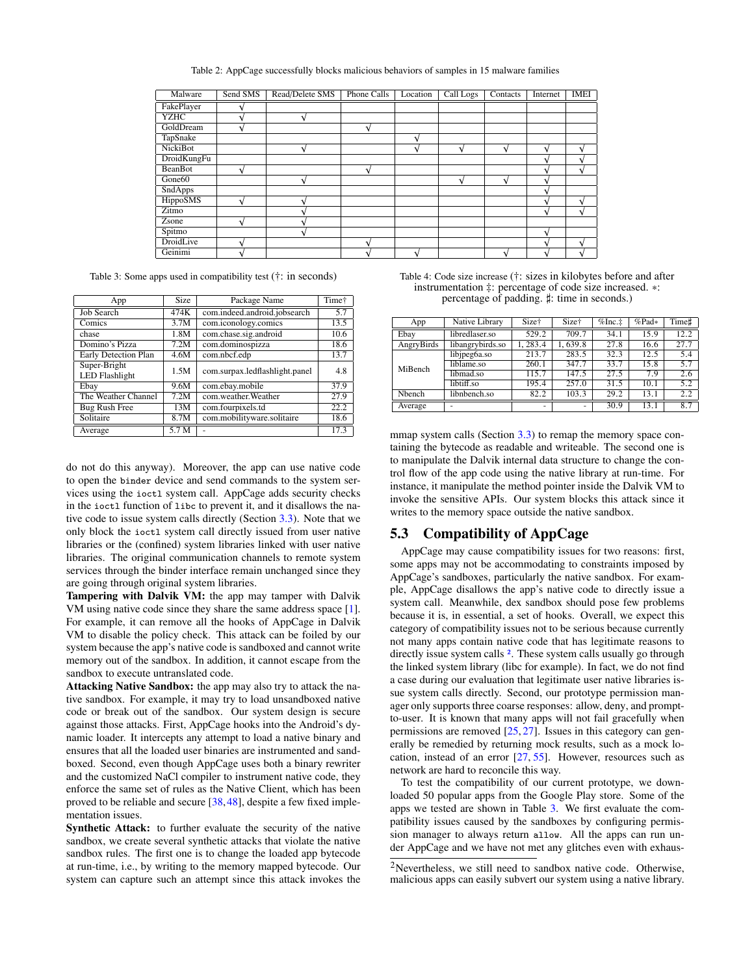Table 2: AppCage successfully blocks malicious behaviors of samples in 15 malware families

<span id="page-8-1"></span>

| Malware            | Send SMS | Read/Delete SMS | Phone Calls | Location | Call Logs | Contacts | Internet | <b>IMEI</b> |
|--------------------|----------|-----------------|-------------|----------|-----------|----------|----------|-------------|
| FakePlayer         |          |                 |             |          |           |          |          |             |
| <b>YZHC</b>        |          |                 |             |          |           |          |          |             |
| GoldDream          |          |                 |             |          |           |          |          |             |
| TapSnake           |          |                 |             |          |           |          |          |             |
| <b>NickiBot</b>    |          |                 |             |          | ٦.        | v        |          |             |
| DroidKungFu        |          |                 |             |          |           |          |          |             |
| <b>BeanBot</b>     | ٦        |                 |             |          |           |          |          |             |
| Gone <sub>60</sub> |          |                 |             |          | V         | v        |          |             |
| <b>SndApps</b>     |          |                 |             |          |           |          |          |             |
| <b>HippoSMS</b>    | À.       |                 |             |          |           |          |          |             |
| Zitmo              |          |                 |             |          |           |          |          |             |
| Zsone              | ٠        |                 |             |          |           |          |          |             |
| Spitmo             |          |                 |             |          |           |          |          |             |
| <b>DroidLive</b>   |          |                 |             |          |           |          |          |             |
| Geinimi            |          |                 |             |          |           |          |          |             |

<span id="page-8-3"></span>Table 3: Some apps used in compatibility test (†: in seconds)

| App                         | Size             | Package Name                   | Time† |
|-----------------------------|------------------|--------------------------------|-------|
| <b>Job Search</b>           | 474K             | com.indeed.android.jobsearch   | 5.7   |
| Comics                      | 3.7M             | com.iconology.comics           | 13.5  |
| chase                       | 1.8M             | com.chase.sig.android          | 10.6  |
| Domino's Pizza              | 7.2M             | com.dominospizza               | 18.6  |
| <b>Early Detection Plan</b> | 4.6M             | com.nbcf.edp                   | 13.7  |
| Super-Bright                | 1.5M             | com.surpax.ledflashlight.panel | 4.8   |
| <b>LED</b> Flashlight       |                  |                                |       |
| Ebay                        | 9.6M             | com.ebay.mobile                | 37.9  |
| The Weather Channel         | 7.2M             | com.weather.Weather            | 27.9  |
| <b>Bug Rush Free</b>        | 13M              | com.fourpixels.td              | 22.2  |
| Solitaire                   | 8.7M             | com.mobilityware.solitaire     | 18.6  |
| Average                     | 5.7 <sub>M</sub> |                                | 17.3  |

do not do this anyway). Moreover, the app can use native code to open the binder device and send commands to the system services using the ioctl system call. AppCage adds security checks in the ioctl function of libc to prevent it, and it disallows the native code to issue system calls directly (Section [3.3\)](#page-2-4). Note that we only block the ioctl system call directly issued from user native libraries or the (confined) system libraries linked with user native libraries. The original communication channels to remote system services through the binder interface remain unchanged since they are going through original system libraries.

Tampering with Dalvik VM: the app may tamper with Dalvik VM using native code since they share the same address space [\[1\]](#page-10-1). For example, it can remove all the hooks of AppCage in Dalvik VM to disable the policy check. This attack can be foiled by our system because the app's native code is sandboxed and cannot write memory out of the sandbox. In addition, it cannot escape from the sandbox to execute untranslated code.

Attacking Native Sandbox: the app may also try to attack the native sandbox. For example, it may try to load unsandboxed native code or break out of the sandbox. Our system design is secure against those attacks. First, AppCage hooks into the Android's dynamic loader. It intercepts any attempt to load a native binary and ensures that all the loaded user binaries are instrumented and sandboxed. Second, even though AppCage uses both a binary rewriter and the customized NaCl compiler to instrument native code, they enforce the same set of rules as the Native Client, which has been proved to be reliable and secure [\[38,](#page-11-22)[48\]](#page-11-23), despite a few fixed implementation issues.

Synthetic Attack: to further evaluate the security of the native sandbox, we create several synthetic attacks that violate the native sandbox rules. The first one is to change the loaded app bytecode at run-time, i.e., by writing to the memory mapped bytecode. Our system can capture such an attempt since this attack invokes the

<span id="page-8-4"></span>

| Table 4: Code size increase (†: sizes in kilobytes before and after |  |
|---------------------------------------------------------------------|--|
| instrumentation $\ddagger$ : percentage of code size increased. *:  |  |
| percentage of padding. $\sharp$ : time in seconds.)                 |  |
|                                                                     |  |

| App        | Native Library   | Size†   | Size†   | %Inc. | $%$ Pad* | Time#            |
|------------|------------------|---------|---------|-------|----------|------------------|
| Ebay       | libredlaser.so   | 529.2   | 709.7   | 34.1  | 15.9     | 12.2             |
| AngryBirds | libangrybirds.so | 1.283.4 | 1.639.8 | 27.8  | 16.6     | 27.7             |
| MiBench    | libjpeg6a.so     | 213.7   | 283.5   | 32.3  | 12.5     | 5.4              |
|            | liblame.so       | 260.1   | 347.7   | 33.7  | 15.8     | $\overline{5.7}$ |
|            | libmad.so        | 115.7   | 147.5   | 27.5  | 7.9      | 2.6              |
|            | libtiff.so       | 195.4   | 257.0   | 31.5  | 10.1     | 5.2              |
| Nbench     | libnbench.so     | 82.2    | 103.3   | 29.2  | 13.1     | 2.2              |
| Average    |                  |         |         | 30.9  | 13.1     | 8.7              |
|            |                  |         |         |       |          |                  |

mmap system calls (Section [3.3\)](#page-2-4) to remap the memory space containing the bytecode as readable and writeable. The second one is to manipulate the Dalvik internal data structure to change the control flow of the app code using the native library at run-time. For instance, it manipulate the method pointer inside the Dalvik VM to invoke the sensitive APIs. Our system blocks this attack since it writes to the memory space outside the native sandbox.

## <span id="page-8-0"></span>5.3 Compatibility of AppCage

AppCage may cause compatibility issues for two reasons: first, some apps may not be accommodating to constraints imposed by AppCage's sandboxes, particularly the native sandbox. For example, AppCage disallows the app's native code to directly issue a system call. Meanwhile, dex sandbox should pose few problems because it is, in essential, a set of hooks. Overall, we expect this category of compatibility issues not to be serious because currently not many apps contain native code that has legitimate reasons to directly issue system calls <sup>2</sup>[.](#page-8-2) These system calls usually go through the linked system library (libc for example). In fact, we do not find a case during our evaluation that legitimate user native libraries issue system calls directly. Second, our prototype permission manager only supports three coarse responses: allow, deny, and promptto-user. It is known that many apps will not fail gracefully when permissions are removed [\[25,](#page-11-30) [27\]](#page-11-6). Issues in this category can generally be remedied by returning mock results, such as a mock location, instead of an error [\[27,](#page-11-6) [55\]](#page-11-10). However, resources such as network are hard to reconcile this way.

To test the compatibility of our current prototype, we downloaded 50 popular apps from the Google Play store. Some of the apps we tested are shown in Table [3.](#page-8-3) We first evaluate the compatibility issues caused by the sandboxes by configuring permission manager to always return allow. All the apps can run under AppCage and we have not met any glitches even with exhaus-

<span id="page-8-2"></span><sup>2</sup>Nevertheless, we still need to sandbox native code. Otherwise, malicious apps can easily subvert our system using a native library.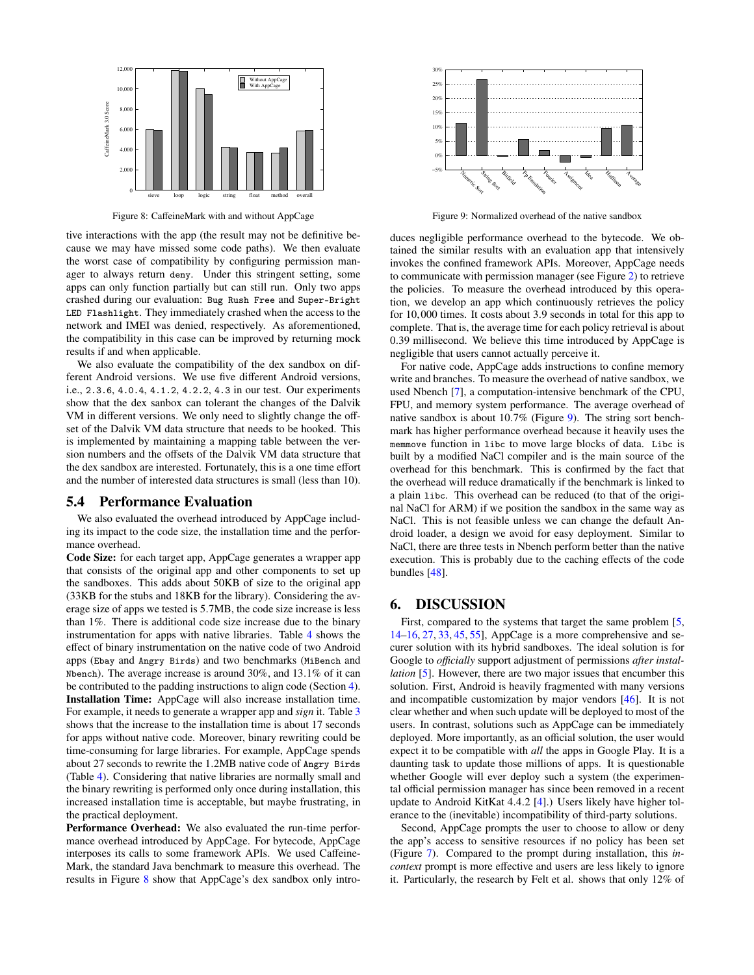<span id="page-9-0"></span>

Figure 8: CaffeineMark with and without AppCage

tive interactions with the app (the result may not be definitive because we may have missed some code paths). We then evaluate the worst case of compatibility by configuring permission manager to always return deny. Under this stringent setting, some apps can only function partially but can still run. Only two apps crashed during our evaluation: Bug Rush Free and Super-Bright LED Flashlight. They immediately crashed when the access to the network and IMEI was denied, respectively. As aforementioned, the compatibility in this case can be improved by returning mock results if and when applicable.

We also evaluate the compatibility of the dex sandbox on different Android versions. We use five different Android versions, i.e., 2.3.6, 4.0.4, 4.1.2, 4.2.2, 4.3 in our test. Our experiments show that the dex sanbox can tolerant the changes of the Dalvik VM in different versions. We only need to slightly change the offset of the Dalvik VM data structure that needs to be hooked. This is implemented by maintaining a mapping table between the version numbers and the offsets of the Dalvik VM data structure that the dex sandbox are interested. Fortunately, this is a one time effort and the number of interested data structures is small (less than 10).

#### 5.4 Performance Evaluation

We also evaluated the overhead introduced by AppCage including its impact to the code size, the installation time and the performance overhead.

Code Size: for each target app, AppCage generates a wrapper app that consists of the original app and other components to set up the sandboxes. This adds about 50KB of size to the original app (33KB for the stubs and 18KB for the library). Considering the average size of apps we tested is 5.7MB, the code size increase is less than 1%. There is additional code size increase due to the binary instrumentation for apps with native libraries. Table [4](#page-8-4) shows the effect of binary instrumentation on the native code of two Android apps (Ebay and Angry Birds) and two benchmarks (MiBench and Nbench). The average increase is around 30%, and 13.1% of it can be contributed to the padding instructions to align code (Section [4\)](#page-5-2). Installation Time: AppCage will also increase installation time. For example, it needs to generate a wrapper app and *sign* it. Table [3](#page-8-3) shows that the increase to the installation time is about 17 seconds for apps without native code. Moreover, binary rewriting could be time-consuming for large libraries. For example, AppCage spends about 27 seconds to rewrite the 1.2MB native code of Angry Birds (Table [4\)](#page-8-4). Considering that native libraries are normally small and the binary rewriting is performed only once during installation, this increased installation time is acceptable, but maybe frustrating, in the practical deployment.

Performance Overhead: We also evaluated the run-time performance overhead introduced by AppCage. For bytecode, AppCage interposes its calls to some framework APIs. We used Caffeine-Mark, the standard Java benchmark to measure this overhead. The results in Figure [8](#page-9-0) show that AppCage's dex sandbox only intro-

<span id="page-9-1"></span>

Figure 9: Normalized overhead of the native sandbox

duces negligible performance overhead to the bytecode. We obtained the similar results with an evaluation app that intensively invokes the confined framework APIs. Moreover, AppCage needs to communicate with permission manager (see Figure [2\)](#page-2-0) to retrieve the policies. To measure the overhead introduced by this operation, we develop an app which continuously retrieves the policy for 10,000 times. It costs about 3.9 seconds in total for this app to complete. That is, the average time for each policy retrieval is about <sup>0</sup>.39 millisecond. We believe this time introduced by AppCage is negligible that users cannot actually perceive it.

For native code, AppCage adds instructions to confine memory write and branches. To measure the overhead of native sandbox, we used Nbench [\[7\]](#page-11-26), a computation-intensive benchmark of the CPU, FPU, and memory system performance. The average overhead of native sandbox is about 10.7% (Figure [9\)](#page-9-1). The string sort benchmark has higher performance overhead because it heavily uses the memmove function in libc to move large blocks of data. Libc is built by a modified NaCl compiler and is the main source of the overhead for this benchmark. This is confirmed by the fact that the overhead will reduce dramatically if the benchmark is linked to a plain libc. This overhead can be reduced (to that of the original NaCl for ARM) if we position the sandbox in the same way as NaCl. This is not feasible unless we can change the default Android loader, a design we avoid for easy deployment. Similar to NaCl, there are three tests in Nbench perform better than the native execution. This is probably due to the caching effects of the code bundles [\[48\]](#page-11-23).

## 6. DISCUSSION

First, compared to the systems that target the same problem [\[5,](#page-11-3) [14](#page-11-4)[–16,](#page-11-5) [27,](#page-11-6) [33,](#page-11-7) [45,](#page-11-9) [55\]](#page-11-10), AppCage is a more comprehensive and securer solution with its hybrid sandboxes. The ideal solution is for Google to *o*ffi*cially* support adjustment of permissions *after installation* [\[5\]](#page-11-3). However, there are two major issues that encumber this solution. First, Android is heavily fragmented with many versions and incompatible customization by major vendors [\[46\]](#page-11-11). It is not clear whether and when such update will be deployed to most of the users. In contrast, solutions such as AppCage can be immediately deployed. More importantly, as an official solution, the user would expect it to be compatible with *all* the apps in Google Play. It is a daunting task to update those millions of apps. It is questionable whether Google will ever deploy such a system (the experimental official permission manager has since been removed in a recent update to Android KitKat 4.4.2 [\[4\]](#page-11-31).) Users likely have higher tolerance to the (inevitable) incompatibility of third-party solutions.

Second, AppCage prompts the user to choose to allow or deny the app's access to sensitive resources if no policy has been set (Figure [7\)](#page-7-2). Compared to the prompt during installation, this *incontext* prompt is more effective and users are less likely to ignore it. Particularly, the research by Felt et al. shows that only 12% of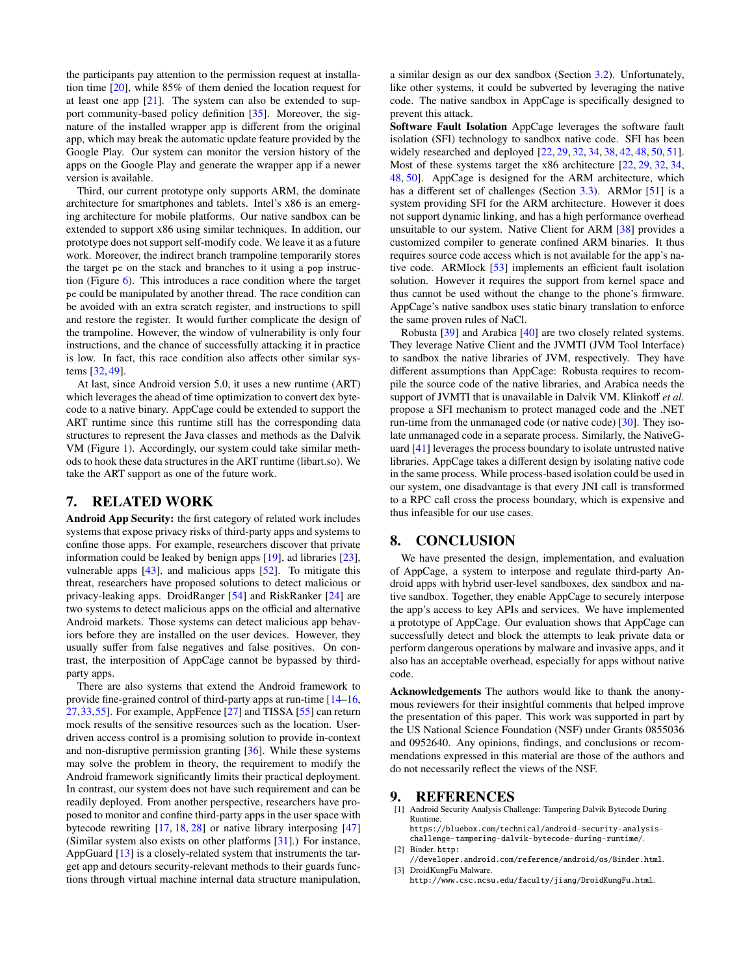the participants pay attention to the permission request at installation time [\[20\]](#page-11-32), while 85% of them denied the location request for at least one app  $[21]$ . The system can also be extended to support community-based policy definition [\[35\]](#page-11-34). Moreover, the signature of the installed wrapper app is different from the original app, which may break the automatic update feature provided by the Google Play. Our system can monitor the version history of the apps on the Google Play and generate the wrapper app if a newer version is available.

Third, our current prototype only supports ARM, the dominate architecture for smartphones and tablets. Intel's x86 is an emerging architecture for mobile platforms. Our native sandbox can be extended to support x86 using similar techniques. In addition, our prototype does not support self-modify code. We leave it as a future work. Moreover, the indirect branch trampoline temporarily stores the target pc on the stack and branches to it using a pop instruction (Figure [6\)](#page-6-1). This introduces a race condition where the target pc could be manipulated by another thread. The race condition can be avoided with an extra scratch register, and instructions to spill and restore the register. It would further complicate the design of the trampoline. However, the window of vulnerability is only four instructions, and the chance of successfully attacking it in practice is low. In fact, this race condition also affects other similar systems [\[32,](#page-11-35) [49\]](#page-11-36).

At last, since Android version 5.0, it uses a new runtime (ART) which leverages the ahead of time optimization to convert dex bytecode to a native binary. AppCage could be extended to support the ART runtime since this runtime still has the corresponding data structures to represent the Java classes and methods as the Dalvik VM (Figure [1\)](#page-1-0). Accordingly, our system could take similar methods to hook these data structures in the ART runtime (libart.so). We take the ART support as one of the future work.

# 7. RELATED WORK

Android App Security: the first category of related work includes systems that expose privacy risks of third-party apps and systems to confine those apps. For example, researchers discover that private information could be leaked by benign apps [\[19\]](#page-11-2), ad libraries [\[23\]](#page-11-37), vulnerable apps [\[43\]](#page-11-38), and malicious apps [\[52\]](#page-11-27). To mitigate this threat, researchers have proposed solutions to detect malicious or privacy-leaking apps. DroidRanger [\[54\]](#page-11-39) and RiskRanker [\[24\]](#page-11-40) are two systems to detect malicious apps on the official and alternative Android markets. Those systems can detect malicious app behaviors before they are installed on the user devices. However, they usually suffer from false negatives and false positives. On contrast, the interposition of AppCage cannot be bypassed by thirdparty apps.

There are also systems that extend the Android framework to provide fine-grained control of third-party apps at run-time [\[14–](#page-11-4)[16,](#page-11-5) [27,](#page-11-6)[33,](#page-11-7)[55\]](#page-11-10). For example, AppFence [\[27\]](#page-11-6) and TISSA [\[55\]](#page-11-10) can return mock results of the sensitive resources such as the location. Userdriven access control is a promising solution to provide in-context and non-disruptive permission granting [\[36\]](#page-11-41). While these systems may solve the problem in theory, the requirement to modify the Android framework significantly limits their practical deployment. In contrast, our system does not have such requirement and can be readily deployed. From another perspective, researchers have proposed to monitor and confine third-party apps in the user space with bytecode rewriting [\[17,](#page-11-13) [18,](#page-11-14) [28\]](#page-11-15) or native library interposing [\[47\]](#page-11-16) (Similar system also exists on other platforms [\[31\]](#page-11-42).) For instance, AppGuard [\[13\]](#page-11-12) is a closely-related system that instruments the target app and detours security-relevant methods to their guards functions through virtual machine internal data structure manipulation,

a similar design as our dex sandbox (Section [3.2\)](#page-2-5). Unfortunately, like other systems, it could be subverted by leveraging the native code. The native sandbox in AppCage is specifically designed to prevent this attack.

Software Fault Isolation AppCage leverages the software fault isolation (SFI) technology to sandbox native code. SFI has been widely researched and deployed [\[22,](#page-11-43) [29,](#page-11-44) [32,](#page-11-35) [34,](#page-11-45) [38,](#page-11-22) [42,](#page-11-17) [48,](#page-11-23) [50,](#page-11-24) [51\]](#page-11-46). Most of these systems target the x86 architecture [\[22,](#page-11-43) [29,](#page-11-44) [32,](#page-11-35) [34,](#page-11-45) [48,](#page-11-23) [50\]](#page-11-24). AppCage is designed for the ARM architecture, which has a different set of challenges (Section [3.3\)](#page-2-4). ARMor [\[51\]](#page-11-46) is a system providing SFI for the ARM architecture. However it does not support dynamic linking, and has a high performance overhead unsuitable to our system. Native Client for ARM [\[38\]](#page-11-22) provides a customized compiler to generate confined ARM binaries. It thus requires source code access which is not available for the app's native code. ARMlock [\[53\]](#page-11-47) implements an efficient fault isolation solution. However it requires the support from kernel space and thus cannot be used without the change to the phone's firmware. AppCage's native sandbox uses static binary translation to enforce the same proven rules of NaCl.

Robusta [\[39\]](#page-11-20) and Arabica [\[40\]](#page-11-48) are two closely related systems. They leverage Native Client and the JVMTI (JVM Tool Interface) to sandbox the native libraries of JVM, respectively. They have different assumptions than AppCage: Robusta requires to recompile the source code of the native libraries, and Arabica needs the support of JVMTI that is unavailable in Dalvik VM. Klinkoff *et al.* propose a SFI mechanism to protect managed code and the .NET run-time from the unmanaged code (or native code) [\[30\]](#page-11-49). They isolate unmanaged code in a separate process. Similarly, the NativeGuard [\[41\]](#page-11-50) leverages the process boundary to isolate untrusted native libraries. AppCage takes a different design by isolating native code in the same process. While process-based isolation could be used in our system, one disadvantage is that every JNI call is transformed to a RPC call cross the process boundary, which is expensive and thus infeasible for our use cases.

# 8. CONCLUSION

We have presented the design, implementation, and evaluation of AppCage, a system to interpose and regulate third-party Android apps with hybrid user-level sandboxes, dex sandbox and native sandbox. Together, they enable AppCage to securely interpose the app's access to key APIs and services. We have implemented a prototype of AppCage. Our evaluation shows that AppCage can successfully detect and block the attempts to leak private data or perform dangerous operations by malware and invasive apps, and it also has an acceptable overhead, especially for apps without native code.

Acknowledgements The authors would like to thank the anonymous reviewers for their insightful comments that helped improve the presentation of this paper. This work was supported in part by the US National Science Foundation (NSF) under Grants 0855036 and 0952640. Any opinions, findings, and conclusions or recommendations expressed in this material are those of the authors and do not necessarily reflect the views of the NSF.

#### 9. REFERENCES

- <span id="page-10-1"></span>[1] Android Security Analysis Challenge: Tampering Dalvik Bytecode During Runtime.
- [https://bluebox.com/technical/android-security-analysis](https://bluebox.com/technical/android-security-analysis-challenge-tampering-dalvik-bytecode-during-runtime/)[challenge-tampering-dalvik-bytecode-during-runtime/](https://bluebox.com/technical/android-security-analysis-challenge-tampering-dalvik-bytecode-during-runtime/). [2] Binder. [http:](http://developer.android.com/reference/android/os/Binder.html)
- <span id="page-10-2"></span><span id="page-10-0"></span>[//developer.android.com/reference/android/os/Binder.html](http://developer.android.com/reference/android/os/Binder.html). DroidKungFu Malware.
- <http://www.csc.ncsu.edu/faculty/jiang/DroidKungFu.html>.